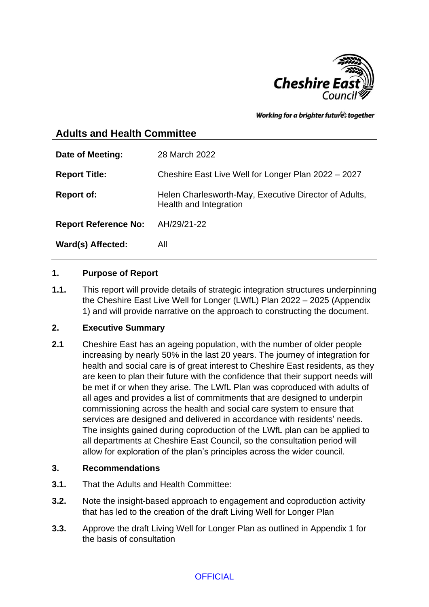

Working for a brighter futures together

# **Adults and Health Committee**

| 28 March 2022                                                                   |
|---------------------------------------------------------------------------------|
| Cheshire East Live Well for Longer Plan 2022 - 2027                             |
| Helen Charlesworth-May, Executive Director of Adults,<br>Health and Integration |
| AH/29/21-22                                                                     |
| All                                                                             |
|                                                                                 |

#### **1. Purpose of Report**

**1.1.** This report will provide details of strategic integration structures underpinning the Cheshire East Live Well for Longer (LWfL) Plan 2022 – 2025 (Appendix 1) and will provide narrative on the approach to constructing the document.

# **2. Executive Summary**

**2.1** Cheshire East has an ageing population, with the number of older people increasing by nearly 50% in the last 20 years. The journey of integration for health and social care is of great interest to Cheshire East residents, as they are keen to plan their future with the confidence that their support needs will be met if or when they arise. The LWfL Plan was coproduced with adults of all ages and provides a list of commitments that are designed to underpin commissioning across the health and social care system to ensure that services are designed and delivered in accordance with residents' needs. The insights gained during coproduction of the LWfL plan can be applied to all departments at Cheshire East Council, so the consultation period will allow for exploration of the plan's principles across the wider council.

#### **3. Recommendations**

- **3.1.** That the Adults and Health Committee:
- **3.2.** Note the insight-based approach to engagement and coproduction activity that has led to the creation of the draft Living Well for Longer Plan
- **3.3.** Approve the draft Living Well for Longer Plan as outlined in Appendix 1 for the basis of consultation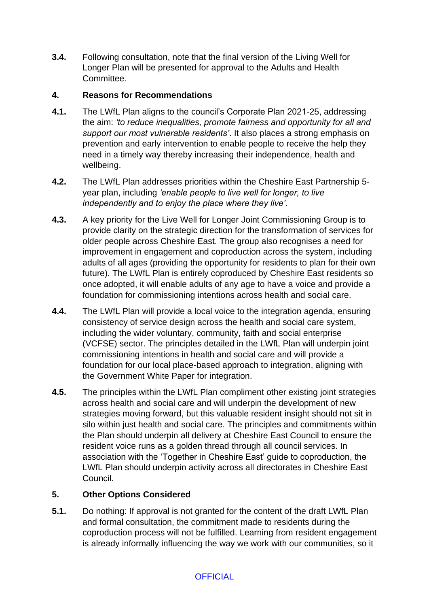**3.4.** Following consultation, note that the final version of the Living Well for Longer Plan will be presented for approval to the Adults and Health Committee.

#### **4. Reasons for Recommendations**

- **4.1.** The LWfL Plan aligns to the council's Corporate Plan 2021-25, addressing the aim: *'to reduce inequalities, promote fairness and opportunity for all and support our most vulnerable residents'*. It also places a strong emphasis on prevention and early intervention to enable people to receive the help they need in a timely way thereby increasing their independence, health and wellbeing.
- **4.2.** The LWfL Plan addresses priorities within the Cheshire East Partnership 5 year plan, including *'enable people to live well for longer, to live independently and to enjoy the place where they live'.*
- **4.3.** A key priority for the Live Well for Longer Joint Commissioning Group is to provide clarity on the strategic direction for the transformation of services for older people across Cheshire East. The group also recognises a need for improvement in engagement and coproduction across the system, including adults of all ages (providing the opportunity for residents to plan for their own future). The LWfL Plan is entirely coproduced by Cheshire East residents so once adopted, it will enable adults of any age to have a voice and provide a foundation for commissioning intentions across health and social care.
- **4.4.** The LWfL Plan will provide a local voice to the integration agenda, ensuring consistency of service design across the health and social care system, including the wider voluntary, community, faith and social enterprise (VCFSE) sector. The principles detailed in the LWfL Plan will underpin joint commissioning intentions in health and social care and will provide a foundation for our local place-based approach to integration, aligning with the Government White Paper for integration.
- **4.5.** The principles within the LWfL Plan compliment other existing joint strategies across health and social care and will underpin the development of new strategies moving forward, but this valuable resident insight should not sit in silo within just health and social care. The principles and commitments within the Plan should underpin all delivery at Cheshire East Council to ensure the resident voice runs as a golden thread through all council services. In association with the 'Together in Cheshire East' guide to coproduction, the LWfL Plan should underpin activity across all directorates in Cheshire East Council.

#### **5. Other Options Considered**

**5.1.** Do nothing: If approval is not granted for the content of the draft LWfL Plan and formal consultation, the commitment made to residents during the coproduction process will not be fulfilled. Learning from resident engagement is already informally influencing the way we work with our communities, so it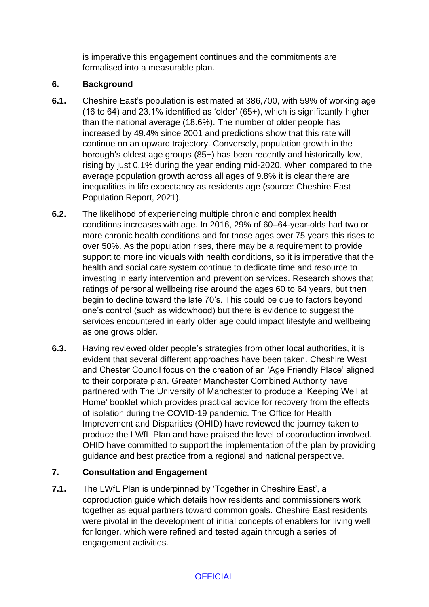is imperative this engagement continues and the commitments are formalised into a measurable plan.

### **6. Background**

- **6.1.** Cheshire East's population is estimated at 386,700, with 59% of working age (16 to 64) and 23.1% identified as 'older' (65+), which is significantly higher than the national average (18.6%). The number of older people has increased by 49.4% since 2001 and predictions show that this rate will continue on an upward trajectory. Conversely, population growth in the borough's oldest age groups (85+) has been recently and historically low, rising by just 0.1% during the year ending mid-2020. When compared to the average population growth across all ages of 9.8% it is clear there are inequalities in life expectancy as residents age (source: Cheshire East Population Report, 2021).
- **6.2.** The likelihood of experiencing multiple chronic and complex health conditions increases with age. In 2016, 29% of 60–64-year-olds had two or more chronic health conditions and for those ages over 75 years this rises to over 50%. As the population rises, there may be a requirement to provide support to more individuals with health conditions, so it is imperative that the health and social care system continue to dedicate time and resource to investing in early intervention and prevention services. Research shows that ratings of personal wellbeing rise around the ages 60 to 64 years, but then begin to decline toward the late 70's. This could be due to factors beyond one's control (such as widowhood) but there is evidence to suggest the services encountered in early older age could impact lifestyle and wellbeing as one grows older.
- **6.3.** Having reviewed older people's strategies from other local authorities, it is evident that several different approaches have been taken. Cheshire West and Chester Council focus on the creation of an 'Age Friendly Place' aligned to their corporate plan. Greater Manchester Combined Authority have partnered with The University of Manchester to produce a 'Keeping Well at Home' booklet which provides practical advice for recovery from the effects of isolation during the COVID-19 pandemic. The Office for Health Improvement and Disparities (OHID) have reviewed the journey taken to produce the LWfL Plan and have praised the level of coproduction involved. OHID have committed to support the implementation of the plan by providing guidance and best practice from a regional and national perspective.

# **7. Consultation and Engagement**

**7.1.** The LWfL Plan is underpinned by 'Together in Cheshire East', a coproduction guide which details how residents and commissioners work together as equal partners toward common goals. Cheshire East residents were pivotal in the development of initial concepts of enablers for living well for longer, which were refined and tested again through a series of engagement activities.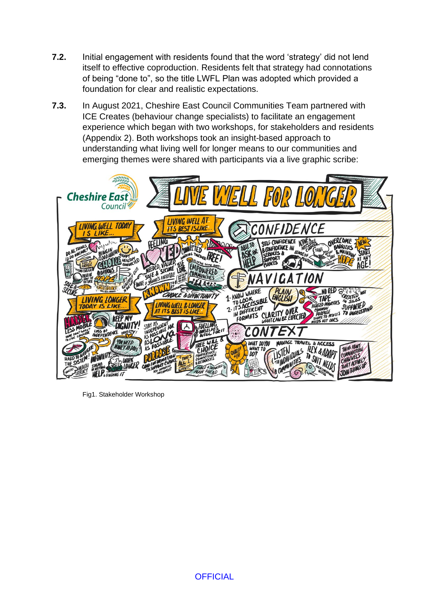- **7.2.** Initial engagement with residents found that the word 'strategy' did not lend itself to effective coproduction. Residents felt that strategy had connotations of being "done to", so the title LWFL Plan was adopted which provided a foundation for clear and realistic expectations.
- **7.3.** In August 2021, Cheshire East Council Communities Team partnered with ICE Creates (behaviour change specialists) to facilitate an engagement experience which began with two workshops, for stakeholders and residents (Appendix 2). Both workshops took an insight-based approach to understanding what living well for longer means to our communities and emerging themes were shared with participants via a live graphic scribe:



Fig1. Stakeholder Workshop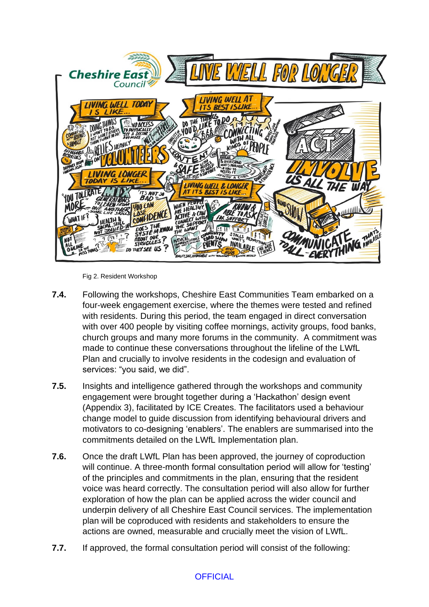

Fig 2. Resident Workshop

- **7.4.** Following the workshops, Cheshire East Communities Team embarked on a four-week engagement exercise, where the themes were tested and refined with residents. During this period, the team engaged in direct conversation with over 400 people by visiting coffee mornings, activity groups, food banks, church groups and many more forums in the community. A commitment was made to continue these conversations throughout the lifeline of the LWfL Plan and crucially to involve residents in the codesign and evaluation of services: "you said, we did".
- **7.5.** Insights and intelligence gathered through the workshops and community engagement were brought together during a 'Hackathon' design event (Appendix 3), facilitated by ICE Creates. The facilitators used a behaviour change model to guide discussion from identifying behavioural drivers and motivators to co-designing 'enablers'. The enablers are summarised into the commitments detailed on the LWfL Implementation plan.
- **7.6.** Once the draft LWfL Plan has been approved, the journey of coproduction will continue. A three-month formal consultation period will allow for 'testing' of the principles and commitments in the plan, ensuring that the resident voice was heard correctly. The consultation period will also allow for further exploration of how the plan can be applied across the wider council and underpin delivery of all Cheshire East Council services. The implementation plan will be coproduced with residents and stakeholders to ensure the actions are owned, measurable and crucially meet the vision of LWfL.
- **7.7.** If approved, the formal consultation period will consist of the following:

# **OFFICIAL**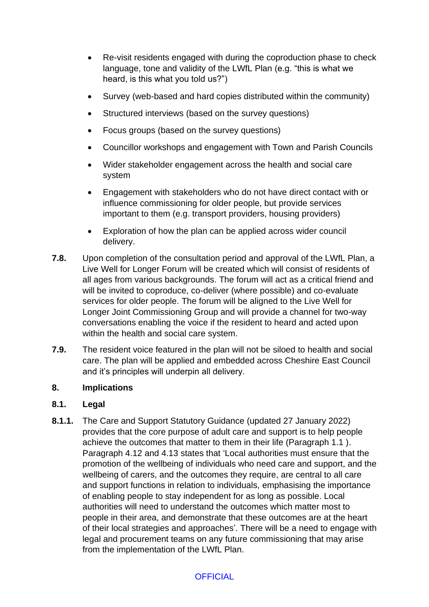- Re-visit residents engaged with during the coproduction phase to check language, tone and validity of the LWfL Plan (e.g. "this is what we heard, is this what you told us?")
- Survey (web-based and hard copies distributed within the community)
- Structured interviews (based on the survey questions)
- Focus groups (based on the survey questions)
- Councillor workshops and engagement with Town and Parish Councils
- Wider stakeholder engagement across the health and social care system
- Engagement with stakeholders who do not have direct contact with or influence commissioning for older people, but provide services important to them (e.g. transport providers, housing providers)
- Exploration of how the plan can be applied across wider council delivery.
- **7.8.** Upon completion of the consultation period and approval of the LWfL Plan, a Live Well for Longer Forum will be created which will consist of residents of all ages from various backgrounds. The forum will act as a critical friend and will be invited to coproduce, co-deliver (where possible) and co-evaluate services for older people. The forum will be aligned to the Live Well for Longer Joint Commissioning Group and will provide a channel for two-way conversations enabling the voice if the resident to heard and acted upon within the health and social care system.
- **7.9.** The resident voice featured in the plan will not be siloed to health and social care. The plan will be applied and embedded across Cheshire East Council and it's principles will underpin all delivery.

#### **8. Implications**

#### **8.1. Legal**

**8.1.1.** The Care and Support Statutory Guidance (updated 27 January 2022) provides that the core purpose of adult care and support is to help people achieve the outcomes that matter to them in their life (Paragraph 1.1 ). Paragraph 4.12 and 4.13 states that 'Local authorities must ensure that the promotion of the wellbeing of individuals who need care and support, and the wellbeing of carers, and the outcomes they require, are central to all care and support functions in relation to individuals, emphasising the importance of enabling people to stay independent for as long as possible. Local authorities will need to understand the outcomes which matter most to people in their area, and demonstrate that these outcomes are at the heart of their local strategies and approaches'. There will be a need to engage with legal and procurement teams on any future commissioning that may arise from the implementation of the LWfL Plan.

#### **OFFICIAL**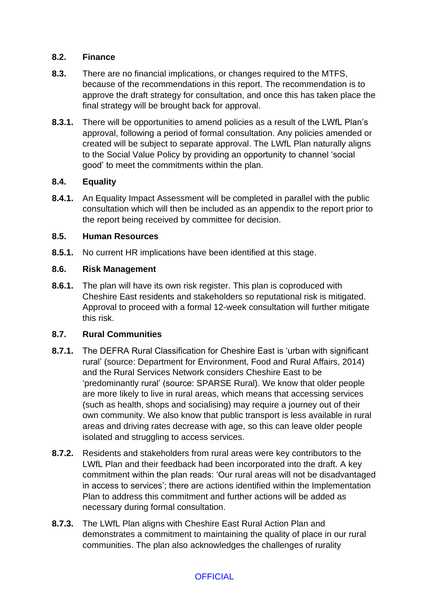#### **8.2. Finance**

- **8.3.** There are no financial implications, or changes required to the MTFS, because of the recommendations in this report. The recommendation is to approve the draft strategy for consultation, and once this has taken place the final strategy will be brought back for approval.
- **8.3.1.** There will be opportunities to amend policies as a result of the LWfL Plan's approval, following a period of formal consultation. Any policies amended or created will be subject to separate approval. The LWfL Plan naturally aligns to the Social Value Policy by providing an opportunity to channel 'social good' to meet the commitments within the plan.

#### **8.4. Equality**

**8.4.1.** An Equality Impact Assessment will be completed in parallel with the public consultation which will then be included as an appendix to the report prior to the report being received by committee for decision.

#### **8.5. Human Resources**

**8.5.1.** No current HR implications have been identified at this stage.

#### **8.6. Risk Management**

**8.6.1.** The plan will have its own risk register. This plan is coproduced with Cheshire East residents and stakeholders so reputational risk is mitigated. Approval to proceed with a formal 12-week consultation will further mitigate this risk.

#### **8.7. Rural Communities**

- **8.7.1.** The DEFRA Rural Classification for Cheshire East is 'urban with significant rural' (source: Department for Environment, Food and Rural Affairs, 2014) and the Rural Services Network considers Cheshire East to be 'predominantly rural' (source: SPARSE Rural). We know that older people are more likely to live in rural areas, which means that accessing services (such as health, shops and socialising) may require a journey out of their own community. We also know that public transport is less available in rural areas and driving rates decrease with age, so this can leave older people isolated and struggling to access services.
- **8.7.2.** Residents and stakeholders from rural areas were key contributors to the LWfL Plan and their feedback had been incorporated into the draft. A key commitment within the plan reads: 'Our rural areas will not be disadvantaged in access to services'; there are actions identified within the Implementation Plan to address this commitment and further actions will be added as necessary during formal consultation.
- **8.7.3.** The LWfL Plan aligns with Cheshire East Rural Action Plan and demonstrates a commitment to maintaining the quality of place in our rural communities. The plan also acknowledges the challenges of rurality

#### **OFFICIAL**